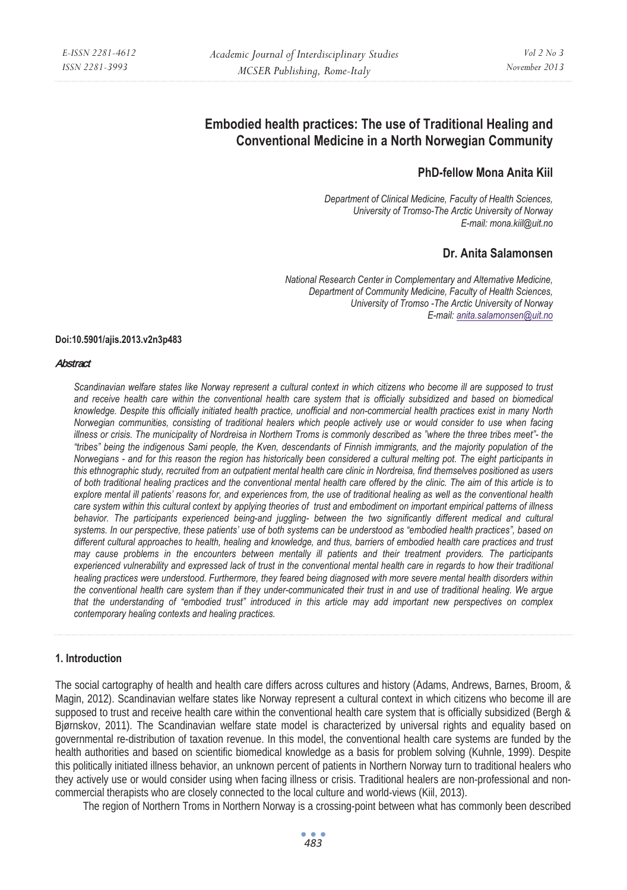# **Embodied health practices: The use of Traditional Healing and Conventional Medicine in a North Norwegian Community**

# **PhD-fellow Mona Anita Kiil**

*Department of Clinical Medicine, Faculty of Health Sciences, University of Tromso-The Arctic University of Norway E-mail: mona.kiil@uit.no* 

# **Dr. Anita Salamonsen**

*National Research Center in Complementary and Alternative Medicine, Department of Community Medicine, Faculty of Health Sciences, University of Tromso -The Arctic University of Norway E-mail: anita.salamonsen@uit.no*

#### **Doi:10.5901/ajis.2013.v2n3p483**

#### **Abstract**

*Scandinavian welfare states like Norway represent a cultural context in which citizens who become ill are supposed to trust and receive health care within the conventional health care system that is officially subsidized and based on biomedical knowledge. Despite this officially initiated health practice, unofficial and non-commercial health practices exist in many North Norwegian communities, consisting of traditional healers which people actively use or would consider to use when facing illness or crisis. The municipality of Nordreisa in Northern Troms is commonly described as "where the three tribes meet"- the "tribes" being the indigenous Sami people, the Kven, descendants of Finnish immigrants, and the majority population of the Norwegians - and for this reason the region has historically been considered a cultural melting pot. The eight participants in this ethnographic study, recruited from an outpatient mental health care clinic in Nordreisa, find themselves positioned as users of both traditional healing practices and the conventional mental health care offered by the clinic. The aim of this article is to*  explore mental ill patients' reasons for, and experiences from, the use of traditional healing as well as the conventional health *care system within this cultural context by applying theories of trust and embodiment on important empirical patterns of illness*  behavior. The participants experienced being-and juggling- between the two significantly different medical and cultural *systems. In our perspective, these patients' use of both systems can be understood as "embodied health practices", based on different cultural approaches to health, healing and knowledge, and thus, barriers of embodied health care practices and trust may cause problems in the encounters between mentally ill patients and their treatment providers. The participants*  experienced vulnerability and expressed lack of trust in the conventional mental health care in regards to how their traditional *healing practices were understood. Furthermore, they feared being diagnosed with more severe mental health disorders within the conventional health care system than if they under-communicated their trust in and use of traditional healing. We argue that the understanding of "embodied trust" introduced in this article may add important new perspectives on complex contemporary healing contexts and healing practices.* 

#### **1. Introduction**

The social cartography of health and health care differs across cultures and history (Adams, Andrews, Barnes, Broom, & Magin, 2012). Scandinavian welfare states like Norway represent a cultural context in which citizens who become ill are supposed to trust and receive health care within the conventional health care system that is officially subsidized (Bergh & Bjørnskov, 2011). The Scandinavian welfare state model is characterized by universal rights and equality based on governmental re-distribution of taxation revenue. In this model, the conventional health care systems are funded by the health authorities and based on scientific biomedical knowledge as a basis for problem solving (Kuhnle, 1999). Despite this politically initiated illness behavior, an unknown percent of patients in Northern Norway turn to traditional healers who they actively use or would consider using when facing illness or crisis. Traditional healers are non-professional and noncommercial therapists who are closely connected to the local culture and world-views (Kiil, 2013).

The region of Northern Troms in Northern Norway is a crossing-point between what has commonly been described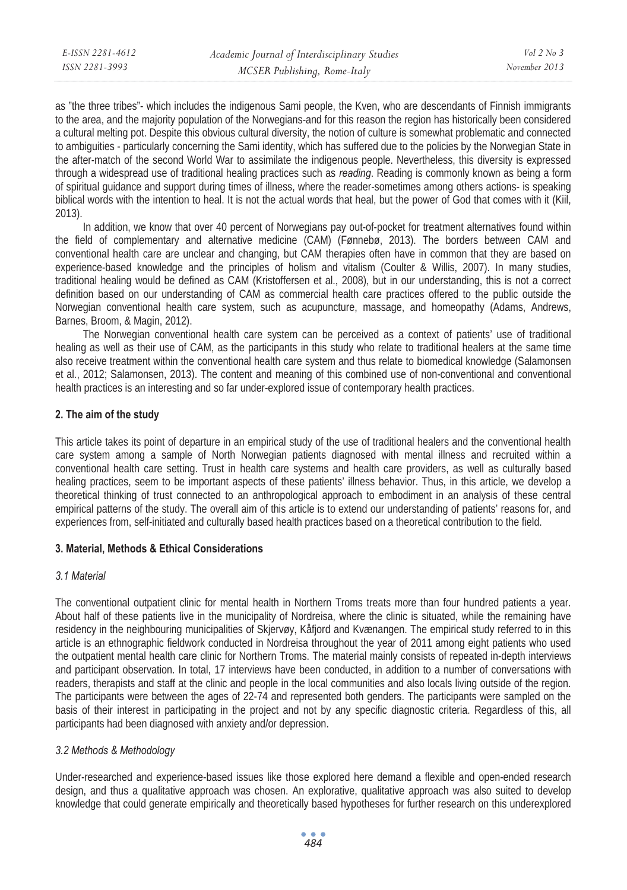as "the three tribes"- which includes the indigenous Sami people, the Kven, who are descendants of Finnish immigrants to the area, and the majority population of the Norwegians-and for this reason the region has historically been considered a cultural melting pot. Despite this obvious cultural diversity, the notion of culture is somewhat problematic and connected to ambiguities - particularly concerning the Sami identity, which has suffered due to the policies by the Norwegian State in the after-match of the second World War to assimilate the indigenous people. Nevertheless, this diversity is expressed through a widespread use of traditional healing practices such as *reading*. Reading is commonly known as being a form of spiritual guidance and support during times of illness, where the reader-sometimes among others actions- is speaking biblical words with the intention to heal. It is not the actual words that heal, but the power of God that comes with it (Kiil, 2013).

In addition, we know that over 40 percent of Norwegians pay out-of-pocket for treatment alternatives found within the field of complementary and alternative medicine (CAM) (Fønnebø, 2013). The borders between CAM and conventional health care are unclear and changing, but CAM therapies often have in common that they are based on experience-based knowledge and the principles of holism and vitalism (Coulter & Willis, 2007). In many studies, traditional healing would be defined as CAM (Kristoffersen et al., 2008), but in our understanding, this is not a correct definition based on our understanding of CAM as commercial health care practices offered to the public outside the Norwegian conventional health care system, such as acupuncture, massage, and homeopathy (Adams, Andrews, Barnes, Broom, & Magin, 2012).

The Norwegian conventional health care system can be perceived as a context of patients' use of traditional healing as well as their use of CAM, as the participants in this study who relate to traditional healers at the same time also receive treatment within the conventional health care system and thus relate to biomedical knowledge (Salamonsen et al., 2012; Salamonsen, 2013). The content and meaning of this combined use of non-conventional and conventional health practices is an interesting and so far under-explored issue of contemporary health practices.

### **2. The aim of the study**

This article takes its point of departure in an empirical study of the use of traditional healers and the conventional health care system among a sample of North Norwegian patients diagnosed with mental illness and recruited within a conventional health care setting. Trust in health care systems and health care providers, as well as culturally based healing practices, seem to be important aspects of these patients' illness behavior. Thus, in this article, we develop a theoretical thinking of trust connected to an anthropological approach to embodiment in an analysis of these central empirical patterns of the study. The overall aim of this article is to extend our understanding of patients' reasons for, and experiences from, self-initiated and culturally based health practices based on a theoretical contribution to the field.

### **3. Material, Methods & Ethical Considerations**

# *3.1 Material*

The conventional outpatient clinic for mental health in Northern Troms treats more than four hundred patients a year. About half of these patients live in the municipality of Nordreisa, where the clinic is situated, while the remaining have residency in the neighbouring municipalities of Skjervøy, Kåfjord and Kvænangen. The empirical study referred to in this article is an ethnographic fieldwork conducted in Nordreisa throughout the year of 2011 among eight patients who used the outpatient mental health care clinic for Northern Troms. The material mainly consists of repeated in-depth interviews and participant observation. In total, 17 interviews have been conducted, in addition to a number of conversations with readers, therapists and staff at the clinic and people in the local communities and also locals living outside of the region. The participants were between the ages of 22-74 and represented both genders. The participants were sampled on the basis of their interest in participating in the project and not by any specific diagnostic criteria. Regardless of this, all participants had been diagnosed with anxiety and/or depression.

# *3.2 Methods & Methodology*

Under-researched and experience-based issues like those explored here demand a flexible and open-ended research design, and thus a qualitative approach was chosen. An explorative, qualitative approach was also suited to develop knowledge that could generate empirically and theoretically based hypotheses for further research on this underexplored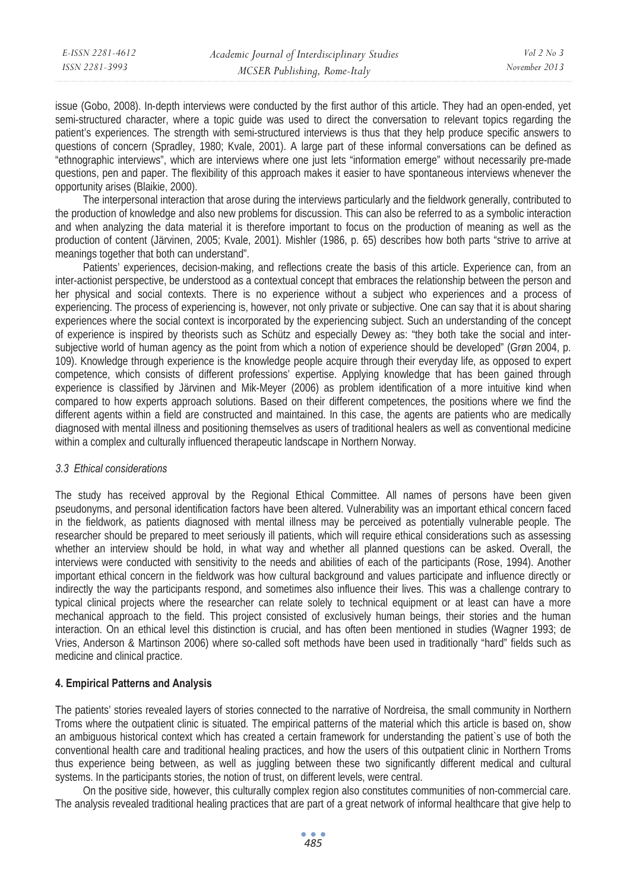| E-ISSN 2281-4612 | Academic Journal of Interdisciplinary Studies | Vol $2$ No. $3$ |
|------------------|-----------------------------------------------|-----------------|
| ISSN 2281-3993   | MCSER Publishing, Rome-Italy                  | November 2013   |

issue (Gobo, 2008). In-depth interviews were conducted by the first author of this article. They had an open-ended, yet semi-structured character, where a topic guide was used to direct the conversation to relevant topics regarding the patient's experiences. The strength with semi-structured interviews is thus that they help produce specific answers to questions of concern (Spradley, 1980; Kvale, 2001). A large part of these informal conversations can be defined as "ethnographic interviews", which are interviews where one just lets "information emerge" without necessarily pre-made questions, pen and paper. The flexibility of this approach makes it easier to have spontaneous interviews whenever the opportunity arises (Blaikie, 2000).

The interpersonal interaction that arose during the interviews particularly and the fieldwork generally, contributed to the production of knowledge and also new problems for discussion. This can also be referred to as a symbolic interaction and when analyzing the data material it is therefore important to focus on the production of meaning as well as the production of content (Järvinen, 2005; Kvale, 2001). Mishler (1986, p. 65) describes how both parts "strive to arrive at meanings together that both can understand".

Patients' experiences, decision-making, and reflections create the basis of this article. Experience can, from an inter-actionist perspective, be understood as a contextual concept that embraces the relationship between the person and her physical and social contexts. There is no experience without a subject who experiences and a process of experiencing. The process of experiencing is, however, not only private or subjective. One can say that it is about sharing experiences where the social context is incorporated by the experiencing subject. Such an understanding of the concept of experience is inspired by theorists such as Schütz and especially Dewey as: "they both take the social and intersubjective world of human agency as the point from which a notion of experience should be developed" (Grøn 2004, p. 109). Knowledge through experience is the knowledge people acquire through their everyday life, as opposed to expert competence, which consists of different professions' expertise. Applying knowledge that has been gained through experience is classified by Järvinen and Mik-Meyer (2006) as problem identification of a more intuitive kind when compared to how experts approach solutions. Based on their different competences, the positions where we find the different agents within a field are constructed and maintained. In this case, the agents are patients who are medically diagnosed with mental illness and positioning themselves as users of traditional healers as well as conventional medicine within a complex and culturally influenced therapeutic landscape in Northern Norway.

#### *3.3 Ethical considerations*

The study has received approval by the Regional Ethical Committee. All names of persons have been given pseudonyms, and personal identification factors have been altered. Vulnerability was an important ethical concern faced in the fieldwork, as patients diagnosed with mental illness may be perceived as potentially vulnerable people. The researcher should be prepared to meet seriously ill patients, which will require ethical considerations such as assessing whether an interview should be hold, in what way and whether all planned questions can be asked. Overall, the interviews were conducted with sensitivity to the needs and abilities of each of the participants (Rose, 1994). Another important ethical concern in the fieldwork was how cultural background and values participate and influence directly or indirectly the way the participants respond, and sometimes also influence their lives. This was a challenge contrary to typical clinical projects where the researcher can relate solely to technical equipment or at least can have a more mechanical approach to the field. This project consisted of exclusively human beings, their stories and the human interaction. On an ethical level this distinction is crucial, and has often been mentioned in studies (Wagner 1993; de Vries, Anderson & Martinson 2006) where so-called soft methods have been used in traditionally "hard" fields such as medicine and clinical practice.

### **4. Empirical Patterns and Analysis**

The patients' stories revealed layers of stories connected to the narrative of Nordreisa, the small community in Northern Troms where the outpatient clinic is situated. The empirical patterns of the material which this article is based on, show an ambiguous historical context which has created a certain framework for understanding the patient`s use of both the conventional health care and traditional healing practices, and how the users of this outpatient clinic in Northern Troms thus experience being between, as well as juggling between these two significantly different medical and cultural systems. In the participants stories, the notion of trust, on different levels, were central.

On the positive side, however, this culturally complex region also constitutes communities of non-commercial care. The analysis revealed traditional healing practices that are part of a great network of informal healthcare that give help to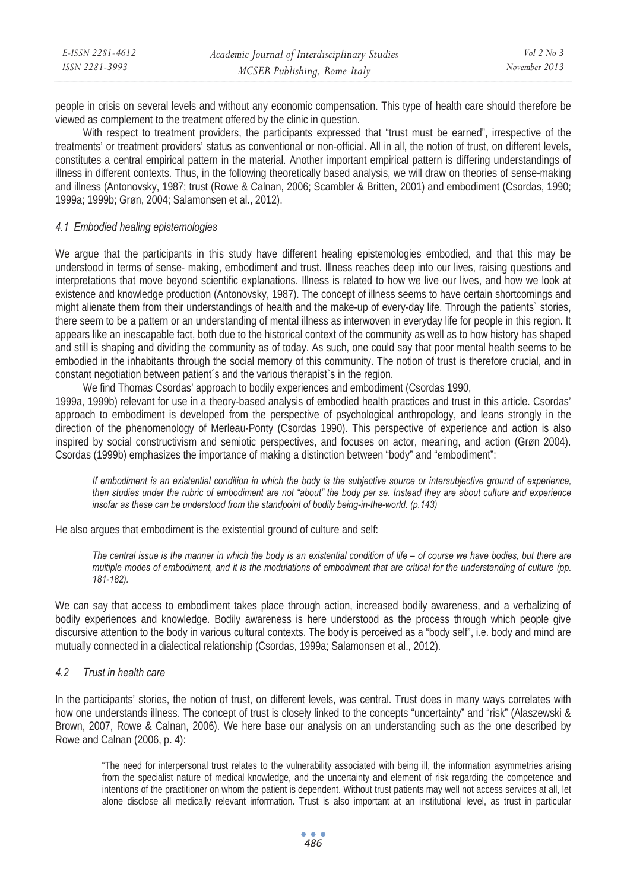| E-ISSN 2281-4612 | Academic Journal of Interdisciplinary Studies | Vol $2$ No. $3$ |
|------------------|-----------------------------------------------|-----------------|
| ISSN 2281-3993   | MCSER Publishing, Rome-Italy                  | November 2013   |

people in crisis on several levels and without any economic compensation. This type of health care should therefore be viewed as complement to the treatment offered by the clinic in question.

With respect to treatment providers, the participants expressed that "trust must be earned", irrespective of the treatments' or treatment providers' status as conventional or non-official. All in all, the notion of trust, on different levels, constitutes a central empirical pattern in the material. Another important empirical pattern is differing understandings of illness in different contexts. Thus, in the following theoretically based analysis, we will draw on theories of sense-making and illness (Antonovsky, 1987; trust (Rowe & Calnan, 2006; Scambler & Britten, 2001) and embodiment (Csordas, 1990; 1999a; 1999b; Grøn, 2004; Salamonsen et al., 2012).

#### *4.1 Embodied healing epistemologies*

We argue that the participants in this study have different healing epistemologies embodied, and that this may be understood in terms of sense- making, embodiment and trust. Illness reaches deep into our lives, raising questions and interpretations that move beyond scientific explanations. Illness is related to how we live our lives, and how we look at existence and knowledge production (Antonovsky, 1987). The concept of illness seems to have certain shortcomings and might alienate them from their understandings of health and the make-up of every-day life. Through the patients` stories, there seem to be a pattern or an understanding of mental illness as interwoven in everyday life for people in this region. It appears like an inescapable fact, both due to the historical context of the community as well as to how history has shaped and still is shaping and dividing the community as of today. As such, one could say that poor mental health seems to be embodied in the inhabitants through the social memory of this community. The notion of trust is therefore crucial, and in constant negotiation between patient´s and the various therapist`s in the region.

We find Thomas Csordas' approach to bodily experiences and embodiment (Csordas 1990, 1999a, 1999b) relevant for use in a theory-based analysis of embodied health practices and trust in this article. Csordas' approach to embodiment is developed from the perspective of psychological anthropology, and leans strongly in the direction of the phenomenology of Merleau-Ponty (Csordas 1990). This perspective of experience and action is also inspired by social constructivism and semiotic perspectives, and focuses on actor, meaning, and action (Grøn 2004). Csordas (1999b) emphasizes the importance of making a distinction between "body" and "embodiment":

*If embodiment is an existential condition in which the body is the subjective source or intersubjective ground of experience, then studies under the rubric of embodiment are not "about" the body per se. Instead they are about culture and experience insofar as these can be understood from the standpoint of bodily being-in-the-world. (p.143)* 

He also argues that embodiment is the existential ground of culture and self:

*The central issue is the manner in which the body is an existential condition of life – of course we have bodies, but there are multiple modes of embodiment, and it is the modulations of embodiment that are critical for the understanding of culture (pp. 181-182).* 

We can say that access to embodiment takes place through action, increased bodily awareness, and a verbalizing of bodily experiences and knowledge. Bodily awareness is here understood as the process through which people give discursive attention to the body in various cultural contexts. The body is perceived as a "body self", i.e. body and mind are mutually connected in a dialectical relationship (Csordas, 1999a; Salamonsen et al., 2012).

### *4.2 Trust in health care*

In the participants' stories, the notion of trust, on different levels, was central. Trust does in many ways correlates with how one understands illness. The concept of trust is closely linked to the concepts "uncertainty" and "risk" (Alaszewski & Brown, 2007, Rowe & Calnan, 2006). We here base our analysis on an understanding such as the one described by Rowe and Calnan (2006, p. 4):

"The need for interpersonal trust relates to the vulnerability associated with being ill, the information asymmetries arising from the specialist nature of medical knowledge, and the uncertainty and element of risk regarding the competence and intentions of the practitioner on whom the patient is dependent. Without trust patients may well not access services at all, let alone disclose all medically relevant information. Trust is also important at an institutional level, as trust in particular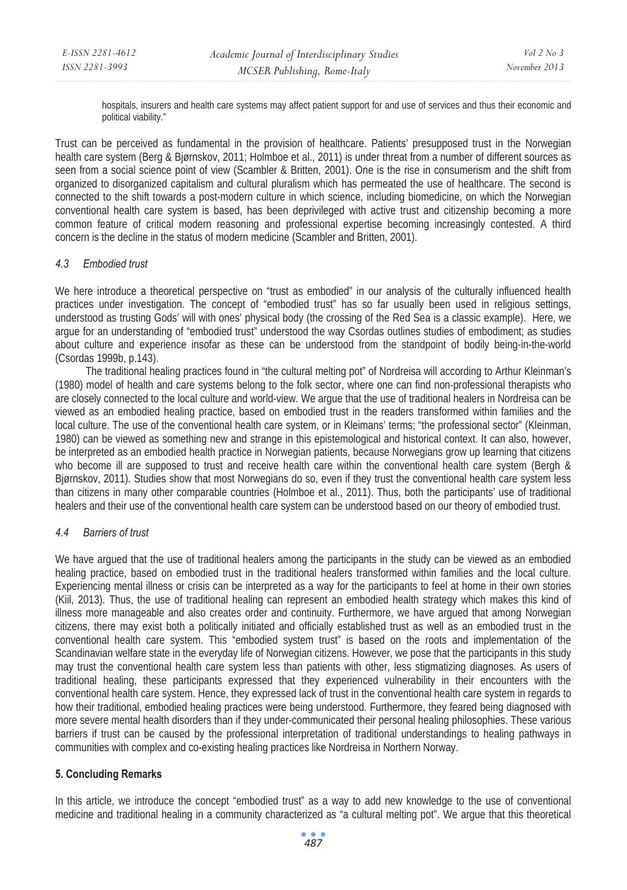hospitals, insurers and health care systems may affect patient support for and use of services and thus their economic and political viability."

Trust can be perceived as fundamental in the provision of healthcare. Patients' presupposed trust in the Norwegian health care system (Berg & Bjørnskov, 2011; Holmboe et al., 2011) is under threat from a number of different sources as seen from a social science point of view (Scambler & Britten, 2001). One is the rise in consumerism and the shift from organized to disorganized capitalism and cultural pluralism which has permeated the use of healthcare. The second is connected to the shift towards a post-modern culture in which science, including biomedicine, on which the Norwegian conventional health care system is based, has been deprivileged with active trust and citizenship becoming a more common feature of critical modern reasoning and professional expertise becoming increasingly contested. A third concern is the decline in the status of modern medicine (Scambler and Britten, 2001).

### *4.3 Embodied trust*

We here introduce a theoretical perspective on "trust as embodied" in our analysis of the culturally influenced health practices under investigation. The concept of "embodied trust" has so far usually been used in religious settings, understood as trusting Gods' will with ones' physical body (the crossing of the Red Sea is a classic example). Here, we argue for an understanding of "embodied trust" understood the way Csordas outlines studies of embodiment; as studies about culture and experience insofar as these can be understood from the standpoint of bodily being-in-the-world (Csordas 1999b, p.143).

 The traditional healing practices found in "the cultural melting pot" of Nordreisa will according to Arthur Kleinman's (1980) model of health and care systems belong to the folk sector, where one can find non-professional therapists who are closely connected to the local culture and world-view. We argue that the use of traditional healers in Nordreisa can be viewed as an embodied healing practice, based on embodied trust in the readers transformed within families and the local culture. The use of the conventional health care system, or in Kleimans' terms; "the professional sector" (Kleinman, 1980) can be viewed as something new and strange in this epistemological and historical context. It can also, however, be interpreted as an embodied health practice in Norwegian patients, because Norwegians grow up learning that citizens who become ill are supposed to trust and receive health care within the conventional health care system (Bergh & Bjørnskov, 2011). Studies show that most Norwegians do so, even if they trust the conventional health care system less than citizens in many other comparable countries (Holmboe et al., 2011). Thus, both the participants' use of traditional healers and their use of the conventional health care system can be understood based on our theory of embodied trust.

# *4.4 Barriers of trust*

We have argued that the use of traditional healers among the participants in the study can be viewed as an embodied healing practice, based on embodied trust in the traditional healers transformed within families and the local culture. Experiencing mental illness or crisis can be interpreted as a way for the participants to feel at home in their own stories (Kiil, 2013). Thus, the use of traditional healing can represent an embodied health strategy which makes this kind of illness more manageable and also creates order and continuity. Furthermore, we have argued that among Norwegian citizens, there may exist both a politically initiated and officially established trust as well as an embodied trust in the conventional health care system. This "embodied system trust" is based on the roots and implementation of the Scandinavian welfare state in the everyday life of Norwegian citizens. However, we pose that the participants in this study may trust the conventional health care system less than patients with other, less stigmatizing diagnoses. As users of traditional healing, these participants expressed that they experienced vulnerability in their encounters with the conventional health care system. Hence, they expressed lack of trust in the conventional health care system in regards to how their traditional, embodied healing practices were being understood. Furthermore, they feared being diagnosed with more severe mental health disorders than if they under-communicated their personal healing philosophies. These various barriers if trust can be caused by the professional interpretation of traditional understandings to healing pathways in communities with complex and co-existing healing practices like Nordreisa in Northern Norway.

# **5. Concluding Remarks**

In this article, we introduce the concept "embodied trust" as a way to add new knowledge to the use of conventional medicine and traditional healing in a community characterized as "a cultural melting pot". We argue that this theoretical